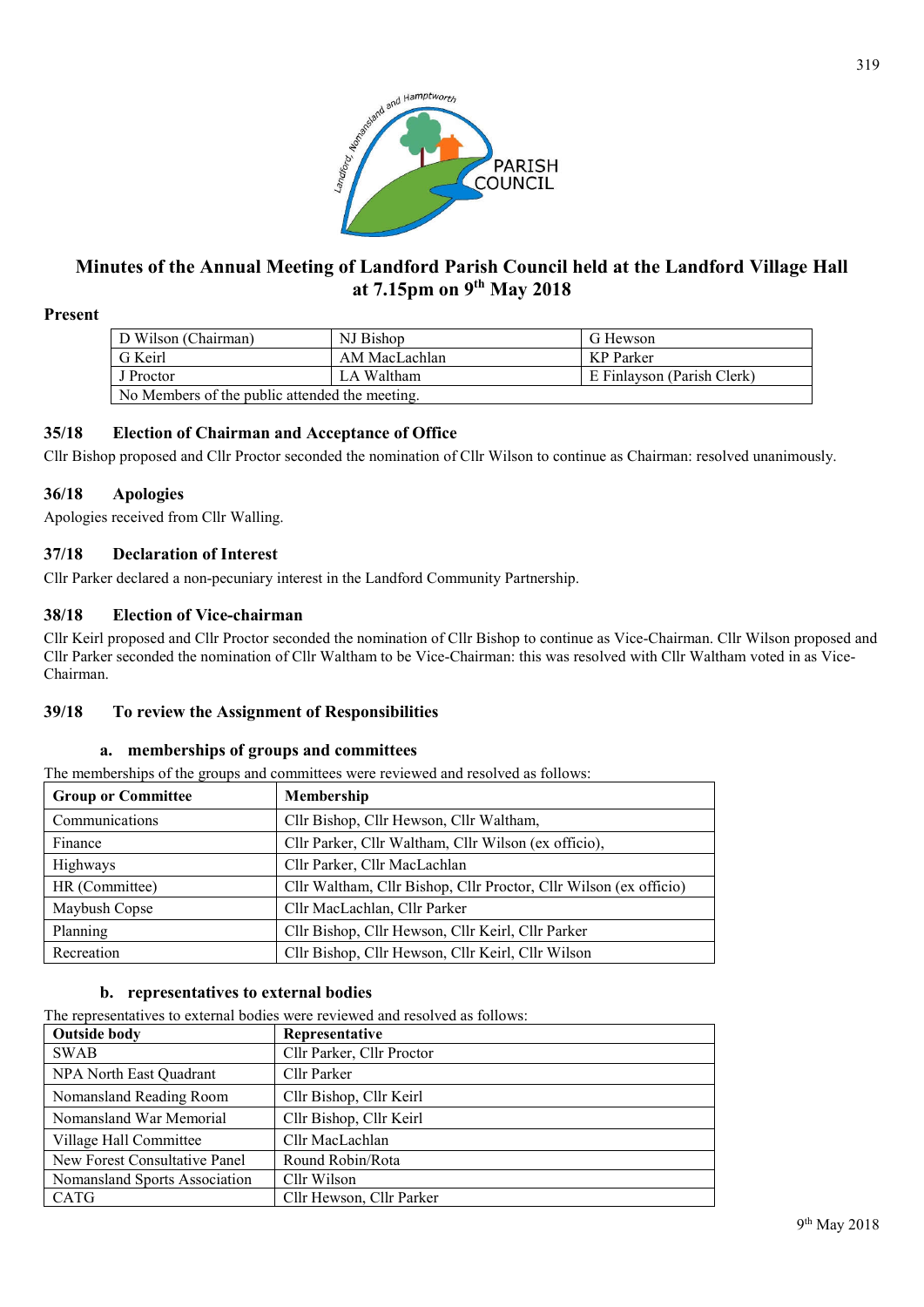

# **Minutes of the Annual Meeting of Landford Parish Council held at the Landford Village Hall at 7.15pm on 9th May 2018**

### **Present**

| D Wilson (Chairman)                            | NJ Bishop     | G Hewson                   |  |  |  |  |
|------------------------------------------------|---------------|----------------------------|--|--|--|--|
| G Keirl                                        | AM MacLachlan | KP Parker                  |  |  |  |  |
| J Proctor                                      | LA Waltham    | E Finlayson (Parish Clerk) |  |  |  |  |
| No Members of the public attended the meeting. |               |                            |  |  |  |  |

### **35/18 Election of Chairman and Acceptance of Office**

Cllr Bishop proposed and Cllr Proctor seconded the nomination of Cllr Wilson to continue as Chairman: resolved unanimously.

### **36/18 Apologies**

Apologies received from Cllr Walling.

## **37/18 Declaration of Interest**

Cllr Parker declared a non-pecuniary interest in the Landford Community Partnership.

### **38/18 Election of Vice-chairman**

Cllr Keirl proposed and Cllr Proctor seconded the nomination of Cllr Bishop to continue as Vice-Chairman. Cllr Wilson proposed and Cllr Parker seconded the nomination of Cllr Waltham to be Vice-Chairman: this was resolved with Cllr Waltham voted in as Vice-Chairman.

### **39/18 To review the Assignment of Responsibilities**

### **a. memberships of groups and committees**

The memberships of the groups and committees were reviewed and resolved as follows:

| <b>Group or Committee</b> | <b>Membership</b>                                                 |  |  |
|---------------------------|-------------------------------------------------------------------|--|--|
| Communications            | Cllr Bishop, Cllr Hewson, Cllr Waltham,                           |  |  |
| Finance                   | Cllr Parker, Cllr Waltham, Cllr Wilson (ex officio),              |  |  |
| Highways                  | Cllr Parker, Cllr MacLachlan                                      |  |  |
| HR (Committee)            | Cllr Waltham, Cllr Bishop, Cllr Proctor, Cllr Wilson (ex officio) |  |  |
| Maybush Copse             | Cllr MacLachlan, Cllr Parker                                      |  |  |
| Planning                  | Cllr Bishop, Cllr Hewson, Cllr Keirl, Cllr Parker                 |  |  |
| Recreation                | Cllr Bishop, Cllr Hewson, Cllr Keirl, Cllr Wilson                 |  |  |

## **b. representatives to external bodies**

The representatives to external bodies were reviewed and resolved as follows:

| <b>Outside body</b>           | Representative            |  |  |
|-------------------------------|---------------------------|--|--|
| <b>SWAB</b>                   | Cllr Parker, Cllr Proctor |  |  |
| NPA North East Quadrant       | Cllr Parker               |  |  |
| Nomansland Reading Room       | Cllr Bishop, Cllr Keirl   |  |  |
| Nomansland War Memorial       | Cllr Bishop, Cllr Keirl   |  |  |
| Village Hall Committee        | Cllr MacLachlan           |  |  |
| New Forest Consultative Panel | Round Robin/Rota          |  |  |
| Nomansland Sports Association | Cllr Wilson               |  |  |
| <b>CATG</b>                   | Cllr Hewson, Cllr Parker  |  |  |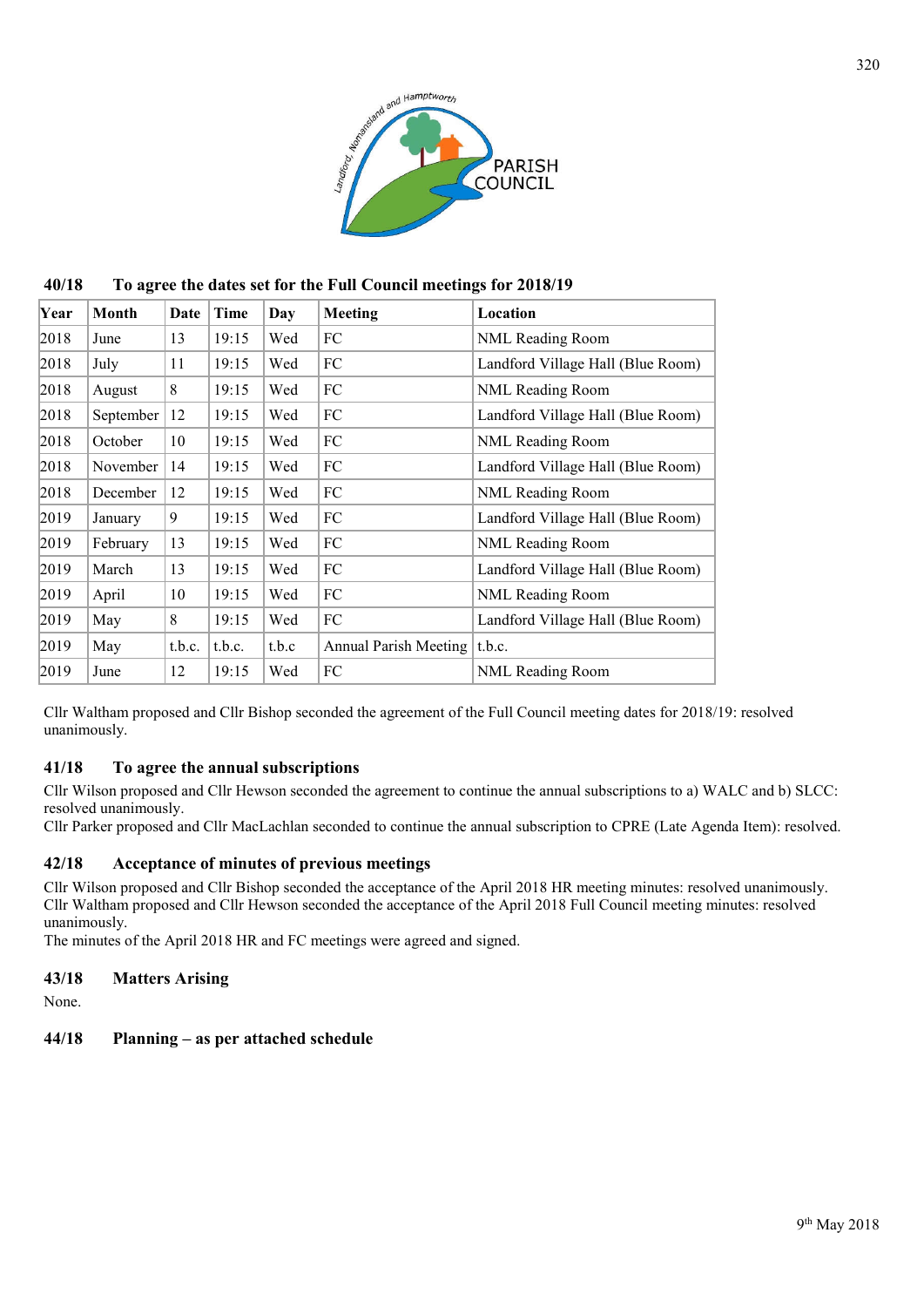

**40/18 To agree the dates set for the Full Council meetings for 2018/19**

| Year | Month     | Date   | Time   | Day   | Meeting                      | Location                          |
|------|-----------|--------|--------|-------|------------------------------|-----------------------------------|
| 2018 | June      | 13     | 19:15  | Wed   | FC                           | NML Reading Room                  |
| 2018 | July      | 11     | 19:15  | Wed   | FC                           | Landford Village Hall (Blue Room) |
| 2018 | August    | 8      | 19:15  | Wed   | FC                           | NML Reading Room                  |
| 2018 | September | 12     | 19:15  | Wed   | FC                           | Landford Village Hall (Blue Room) |
| 2018 | October   | 10     | 19:15  | Wed   | FC                           | NML Reading Room                  |
| 2018 | November  | 14     | 19:15  | Wed   | FC                           | Landford Village Hall (Blue Room) |
| 2018 | December  | 12     | 19:15  | Wed   | FC                           | NML Reading Room                  |
| 2019 | January   | 9      | 19:15  | Wed   | FC                           | Landford Village Hall (Blue Room) |
| 2019 | February  | 13     | 19:15  | Wed   | FC                           | NML Reading Room                  |
| 2019 | March     | 13     | 19:15  | Wed   | FC                           | Landford Village Hall (Blue Room) |
| 2019 | April     | 10     | 19:15  | Wed   | FC                           | NML Reading Room                  |
| 2019 | May       | 8      | 19:15  | Wed   | FC                           | Landford Village Hall (Blue Room) |
| 2019 | May       | t.b.c. | t.b.c. | t.b.c | <b>Annual Parish Meeting</b> | t.b.c.                            |
| 2019 | June      | 12     | 19:15  | Wed   | FC                           | NML Reading Room                  |

Cllr Waltham proposed and Cllr Bishop seconded the agreement of the Full Council meeting dates for 2018/19: resolved unanimously.

### **41/18 To agree the annual subscriptions**

Cllr Wilson proposed and Cllr Hewson seconded the agreement to continue the annual subscriptions to a) WALC and b) SLCC: resolved unanimously.

Cllr Parker proposed and Cllr MacLachlan seconded to continue the annual subscription to CPRE (Late Agenda Item): resolved.

# **42/18 Acceptance of minutes of previous meetings**

Cllr Wilson proposed and Cllr Bishop seconded the acceptance of the April 2018 HR meeting minutes: resolved unanimously. Cllr Waltham proposed and Cllr Hewson seconded the acceptance of the April 2018 Full Council meeting minutes: resolved unanimously.

The minutes of the April 2018 HR and FC meetings were agreed and signed.

## **43/18 Matters Arising**

None.

### **44/18 Planning – as per attached schedule**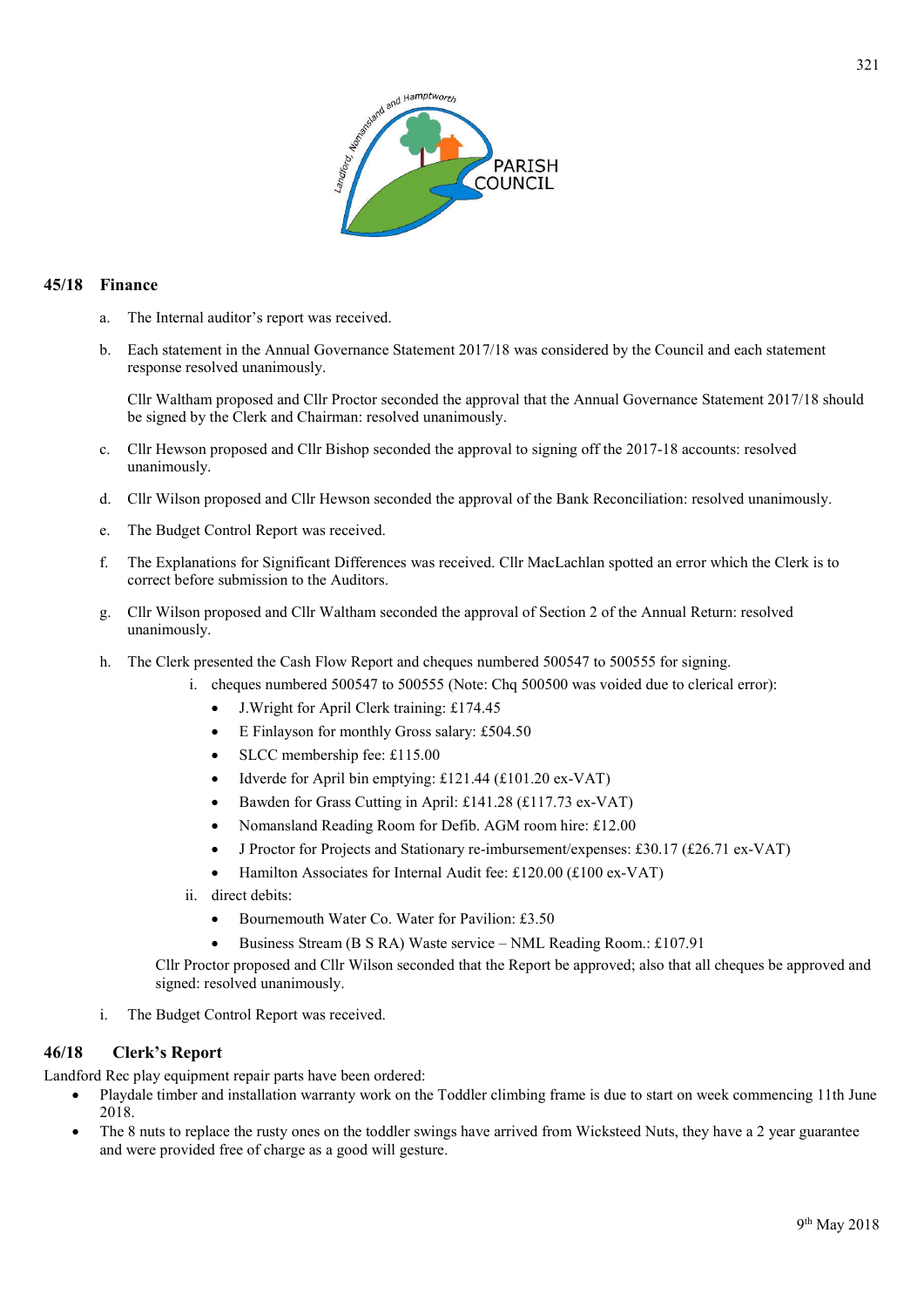

### **45/18 Finance**

- a. The Internal auditor's report was received.
- b. Each statement in the Annual Governance Statement 2017/18 was considered by the Council and each statement response resolved unanimously.

Cllr Waltham proposed and Cllr Proctor seconded the approval that the Annual Governance Statement 2017/18 should be signed by the Clerk and Chairman: resolved unanimously.

- c. Cllr Hewson proposed and Cllr Bishop seconded the approval to signing off the 2017-18 accounts: resolved unanimously.
- d. Cllr Wilson proposed and Cllr Hewson seconded the approval of the Bank Reconciliation: resolved unanimously.
- e. The Budget Control Report was received.
- f. The Explanations for Significant Differences was received. Cllr MacLachlan spotted an error which the Clerk is to correct before submission to the Auditors.
- g. Cllr Wilson proposed and Cllr Waltham seconded the approval of Section 2 of the Annual Return: resolved unanimously.
- h. The Clerk presented the Cash Flow Report and cheques numbered 500547 to 500555 for signing.
	- i. cheques numbered 500547 to 500555 (Note: Chq 500500 was voided due to clerical error):
		- J.Wright for April Clerk training: £174.45
		- E Finlayson for monthly Gross salary: £504.50
		- SLCC membership fee: £115.00
		- $\bullet$  Idverde for April bin emptying: £121.44 (£101.20 ex-VAT)
		- Bawden for Grass Cutting in April: £141.28 (£117.73 ex-VAT)
		- Nomansland Reading Room for Defib. AGM room hire: £12.00
		- J Proctor for Projects and Stationary re-imbursement/expenses: £30.17 (£26.71 ex-VAT)
		- Hamilton Associates for Internal Audit fee: £120.00 (£100 ex-VAT)
	- ii. direct debits:
		- Bournemouth Water Co. Water for Pavilion: £3.50
		- Business Stream (B S RA) Waste service NML Reading Room.: £107.91

Cllr Proctor proposed and Cllr Wilson seconded that the Report be approved; also that all cheques be approved and signed: resolved unanimously.

i. The Budget Control Report was received.

### **46/18 Clerk's Report**

Landford Rec play equipment repair parts have been ordered:

- Playdale timber and installation warranty work on the Toddler climbing frame is due to start on week commencing 11th June 2018.
- The 8 nuts to replace the rusty ones on the toddler swings have arrived from Wicksteed Nuts, they have a 2 year guarantee and were provided free of charge as a good will gesture.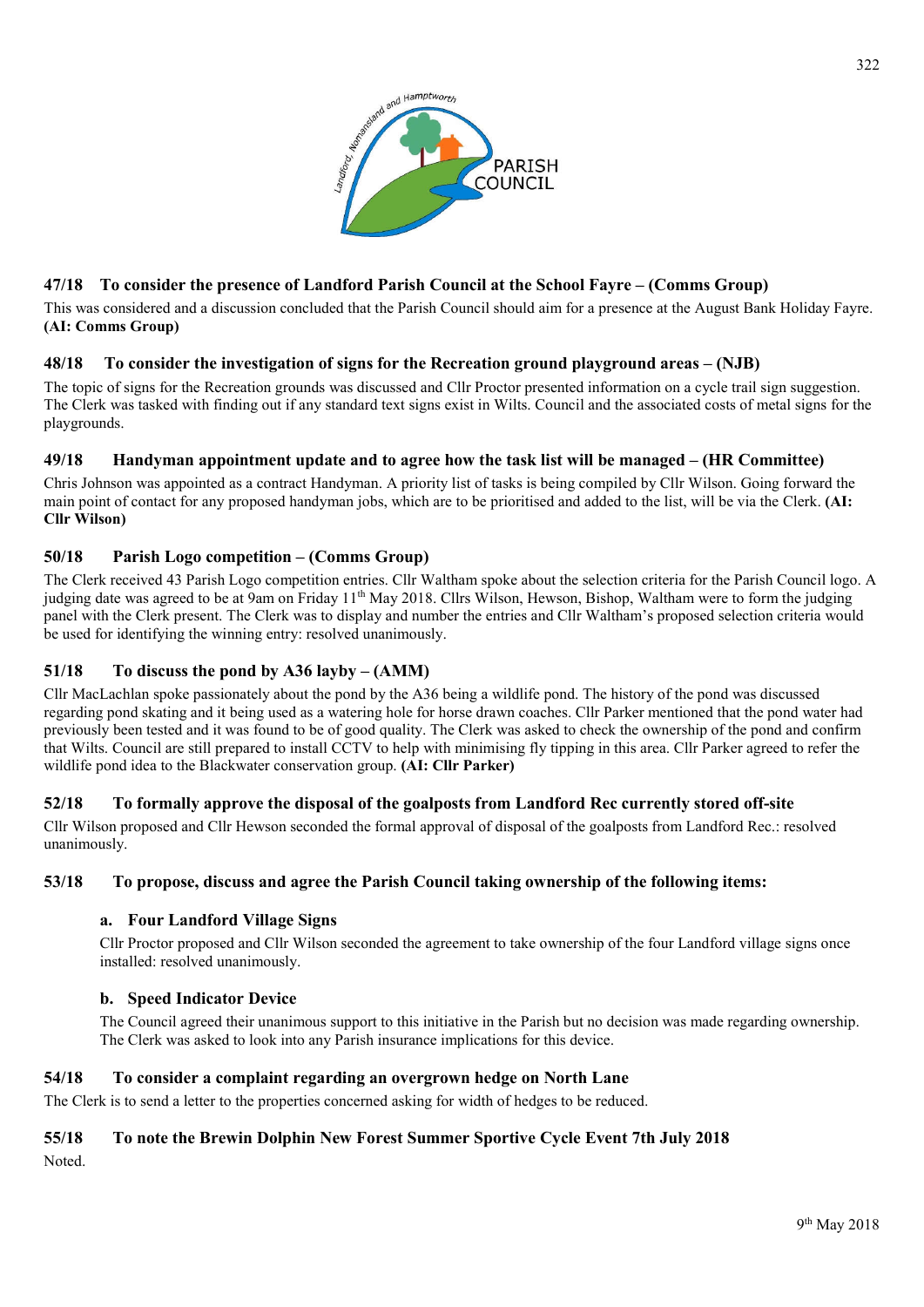

# **47/18 To consider the presence of Landford Parish Council at the School Fayre – (Comms Group)**

This was considered and a discussion concluded that the Parish Council should aim for a presence at the August Bank Holiday Fayre. **(AI: Comms Group)**

# **48/18 To consider the investigation of signs for the Recreation ground playground areas – (NJB)**

The topic of signs for the Recreation grounds was discussed and Cllr Proctor presented information on a cycle trail sign suggestion. The Clerk was tasked with finding out if any standard text signs exist in Wilts. Council and the associated costs of metal signs for the playgrounds.

# **49/18 Handyman appointment update and to agree how the task list will be managed – (HR Committee)**

Chris Johnson was appointed as a contract Handyman. A priority list of tasks is being compiled by Cllr Wilson. Going forward the main point of contact for any proposed handyman jobs, which are to be prioritised and added to the list, will be via the Clerk. **(AI: Cllr Wilson)**

# **50/18 Parish Logo competition – (Comms Group)**

The Clerk received 43 Parish Logo competition entries. Cllr Waltham spoke about the selection criteria for the Parish Council logo. A judging date was agreed to be at 9am on Friday 11<sup>th</sup> May 2018. Cllrs Wilson, Hewson, Bishop, Waltham were to form the judging panel with the Clerk present. The Clerk was to display and number the entries and Cllr Waltham's proposed selection criteria would be used for identifying the winning entry: resolved unanimously.

# **51/18 To discuss the pond by A36 layby – (AMM)**

Cllr MacLachlan spoke passionately about the pond by the A36 being a wildlife pond. The history of the pond was discussed regarding pond skating and it being used as a watering hole for horse drawn coaches. Cllr Parker mentioned that the pond water had previously been tested and it was found to be of good quality. The Clerk was asked to check the ownership of the pond and confirm that Wilts. Council are still prepared to install CCTV to help with minimising fly tipping in this area. Cllr Parker agreed to refer the wildlife pond idea to the Blackwater conservation group. **(AI: Cllr Parker)**

# **52/18 To formally approve the disposal of the goalposts from Landford Rec currently stored off-site**

Cllr Wilson proposed and Cllr Hewson seconded the formal approval of disposal of the goalposts from Landford Rec.: resolved unanimously.

### **53/18 To propose, discuss and agree the Parish Council taking ownership of the following items:**

### **a. Four Landford Village Signs**

Cllr Proctor proposed and Cllr Wilson seconded the agreement to take ownership of the four Landford village signs once installed: resolved unanimously.

### **b. Speed Indicator Device**

The Council agreed their unanimous support to this initiative in the Parish but no decision was made regarding ownership. The Clerk was asked to look into any Parish insurance implications for this device.

### **54/18 To consider a complaint regarding an overgrown hedge on North Lane**

The Clerk is to send a letter to the properties concerned asking for width of hedges to be reduced.

# **55/18 To note the Brewin Dolphin New Forest Summer Sportive Cycle Event 7th July 2018**

Noted.